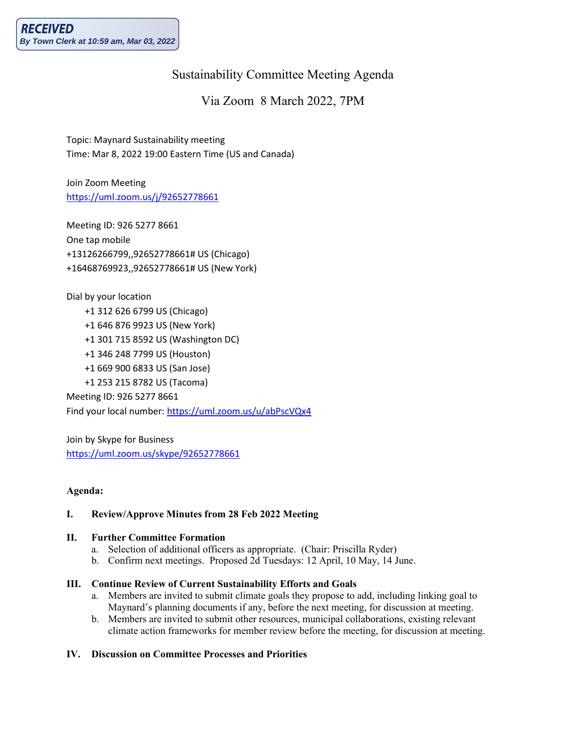# Sustainability Committee Meeting Agenda

## Via Zoom 8 March 2022, 7PM

Topic: Maynard Sustainability meeting Time: Mar 8, 2022 19:00 Eastern Time (US and Canada)

Join Zoom Meeting <https://uml.zoom.us/j/92652778661>

Meeting ID: 926 5277 8661 One tap mobile +13126266799,,92652778661# US (Chicago) +16468769923,,92652778661# US (New York)

Dial by your location +1 312 626 6799 US (Chicago) +1 646 876 9923 US (New York) +1 301 715 8592 US (Washington DC) +1 346 248 7799 US (Houston) +1 669 900 6833 US (San Jose) +1 253 215 8782 US (Tacoma) Meeting ID: 926 5277 8661 Find your local number[: https://uml.zoom.us/u/abPscVQx4](https://uml.zoom.us/u/abPscVQx4)

Join by Skype for Business <https://uml.zoom.us/skype/92652778661>

## **Agenda:**

## **I. Review/Approve Minutes from 28 Feb 2022 Meeting**

#### **II. Further Committee Formation**

- a. Selection of additional officers as appropriate. (Chair: Priscilla Ryder)
- b. Confirm next meetings. Proposed 2d Tuesdays: 12 April, 10 May, 14 June.

## **III. Continue Review of Current Sustainability Efforts and Goals**

- a. Members are invited to submit climate goals they propose to add, including linking goal to Maynard's planning documents if any, before the next meeting, for discussion at meeting.
- b. Members are invited to submit other resources, municipal collaborations, existing relevant climate action frameworks for member review before the meeting, for discussion at meeting.

## **IV. Discussion on Committee Processes and Priorities**